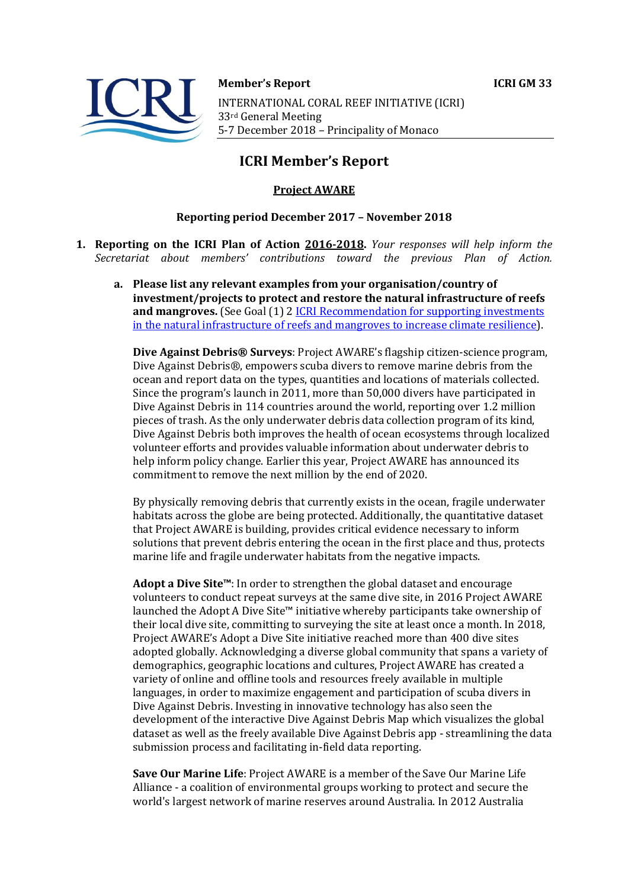

**Member's Report ICRI GM 33** 

INTERNATIONAL CORAL REEF INITIATIVE (ICRI) 33rd General Meeting 5-7 December 2018 - Principality of Monaco

## **ICRI Member's Report**

## **Project AWARE**

## **Reporting period December 2017 - November 2018**

- **1. Reporting on the ICRI Plan of Action 2016-2018.** *Your responses will help inform the Secretariat about members' contributions toward the previous Plan of Action.*
	- a. Please list any relevant examples from your organisation/country of **investment/projects to protect and restore the natural infrastructure of reefs and mangroves.** (See Goal (1) 2 ICRI Recommendation for supporting investments in the natural infrastructure of reefs and mangroves to increase climate resilience).

**Dive Against Debris® Surveys**: Project AWARE's flagship citizen-science program, Dive Against Debris®, empowers scuba divers to remove marine debris from the ocean and report data on the types, quantities and locations of materials collected. Since the program's launch in 2011, more than  $50,000$  divers have participated in Dive Against Debris in 114 countries around the world, reporting over 1.2 million pieces of trash. As the only underwater debris data collection program of its kind, Dive Against Debris both improves the health of ocean ecosystems through localized volunteer efforts and provides valuable information about underwater debris to help inform policy change. Earlier this year, Project AWARE has announced its commitment to remove the next million by the end of 2020.

By physically removing debris that currently exists in the ocean, fragile underwater habitats across the globe are being protected. Additionally, the quantitative dataset that Project AWARE is building, provides critical evidence necessary to inform solutions that prevent debris entering the ocean in the first place and thus, protects marine life and fragile underwater habitats from the negative impacts.

**Adopt a Dive Site™**: In order to strengthen the global dataset and encourage volunteers to conduct repeat surveys at the same dive site, in 2016 Project AWARE launched the Adopt A Dive Site<sup> $m$ </sup> initiative whereby participants take ownership of their local dive site, committing to surveying the site at least once a month. In 2018, Project AWARE's Adopt a Dive Site initiative reached more than 400 dive sites adopted globally. Acknowledging a diverse global community that spans a variety of demographics, geographic locations and cultures, Project AWARE has created a variety of online and offline tools and resources freely available in multiple languages, in order to maximize engagement and participation of scuba divers in Dive Against Debris. Investing in innovative technology has also seen the development of the interactive Dive Against Debris Map which visualizes the global dataset as well as the freely available Dive Against Debris app - streamlining the data submission process and facilitating in-field data reporting.

**Save Our Marine Life**: Project AWARE is a member of the Save Our Marine Life Alliance - a coalition of environmental groups working to protect and secure the world's largest network of marine reserves around Australia. In 2012 Australia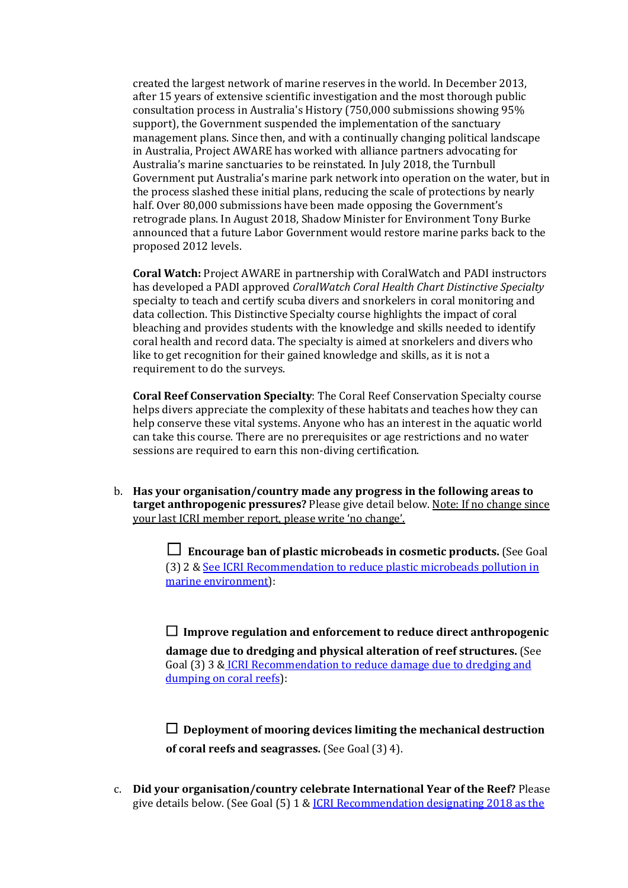created the largest network of marine reserves in the world. In December 2013, after 15 years of extensive scientific investigation and the most thorough public consultation process in Australia's History (750,000 submissions showing 95%) support), the Government suspended the implementation of the sanctuary management plans. Since then, and with a continually changing political landscape in Australia, Project AWARE has worked with alliance partners advocating for Australia's marine sanctuaries to be reinstated. In July 2018, the Turnbull Government put Australia's marine park network into operation on the water, but in the process slashed these initial plans, reducing the scale of protections by nearly half. Over 80,000 submissions have been made opposing the Government's retrograde plans. In August 2018, Shadow Minister for Environment Tony Burke announced that a future Labor Government would restore marine parks back to the proposed 2012 levels.

**Coral Watch:** Project AWARE in partnership with CoralWatch and PADI instructors has developed a PADI approved *CoralWatch Coral Health Chart Distinctive Specialty* specialty to teach and certify scuba divers and snorkelers in coral monitoring and data collection. This Distinctive Specialty course highlights the impact of coral bleaching and provides students with the knowledge and skills needed to identify coral health and record data. The specialty is aimed at snorkelers and divers who like to get recognition for their gained knowledge and skills, as it is not a requirement to do the surveys.

**Coral Reef Conservation Specialty:** The Coral Reef Conservation Specialty course helps divers appreciate the complexity of these habitats and teaches how they can help conserve these vital systems. Anyone who has an interest in the aquatic world can take this course. There are no prerequisites or age restrictions and no water sessions are required to earn this non-diving certification.

b. Has your organisation/country made any progress in the following areas to **target anthropogenic pressures?** Please give detail below. Note: If no change since vour last ICRI member report, please write 'no change'.

> □ Encourage ban of plastic microbeads in cosmetic products. (See Goal (3) 2 & See ICRI Recommendation to reduce plastic microbeads pollution in marine environment):

> $\Box$  Improve regulation and enforcement to reduce direct anthropogenic **damage due to dredging and physical alteration of reef structures.** (See Goal (3) 3 & ICRI Recommendation to reduce damage due to dredging and dumping on coral reefs):

 $\Box$  Deployment of mooring devices limiting the mechanical destruction **of coral reefs and seagrasses.** (See Goal (3) 4).

c. Did your organisation/country celebrate International Year of the Reef? Please give details below. (See Goal  $(5)$  1 & ICRI Recommendation designating 2018 as the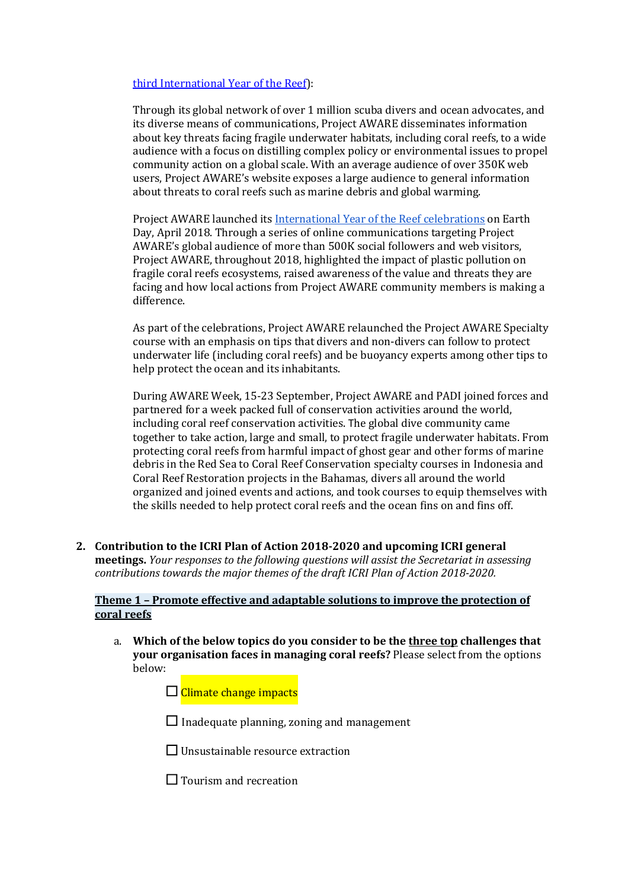## third International Year of the Reef):

Through its global network of over 1 million scuba divers and ocean advocates, and its diverse means of communications, Project AWARE disseminates information about key threats facing fragile underwater habitats, including coral reefs, to a wide audience with a focus on distilling complex policy or environmental issues to propel community action on a global scale. With an average audience of over 350K web users, Project AWARE's website exposes a large audience to general information about threats to coral reefs such as marine debris and global warming.

Project AWARE launched its International Year of the Reef celebrations on Earth Day, April 2018. Through a series of online communications targeting Project AWARE's global audience of more than 500K social followers and web visitors, Project AWARE, throughout 2018, highlighted the impact of plastic pollution on fragile coral reefs ecosystems, raised awareness of the value and threats they are facing and how local actions from Project AWARE community members is making a difference. 

As part of the celebrations, Project AWARE relaunched the Project AWARE Specialty course with an emphasis on tips that divers and non-divers can follow to protect underwater life (including coral reefs) and be buoyancy experts among other tips to help protect the ocean and its inhabitants.

During AWARE Week, 15-23 September, Project AWARE and PADI joined forces and partnered for a week packed full of conservation activities around the world, including coral reef conservation activities. The global dive community came together to take action, large and small, to protect fragile underwater habitats. From protecting coral reefs from harmful impact of ghost gear and other forms of marine debris in the Red Sea to Coral Reef Conservation specialty courses in Indonesia and Coral Reef Restoration projects in the Bahamas, divers all around the world organized and joined events and actions, and took courses to equip themselves with the skills needed to help protect coral reefs and the ocean fins on and fins off.

2. Contribution to the ICRI Plan of Action 2018-2020 and upcoming ICRI general **meetings.** *Your responses to the following questions will assist the Secretariat in assessing contributions towards the major themes of the draft ICRI Plan of Action 2018-2020.* 

## **Theme 1 - Promote effective and adaptable solutions to improve the protection of coral reefs**

a. Which of the below topics do you consider to be the three top challenges that **your organisation faces in managing coral reefs?** Please select from the options below:

 $\Box$  Climate change impacts

 $\Box$  Inadequate planning, zoning and management

 $\Box$  Unsustainable resource extraction

 $\Box$  Tourism and recreation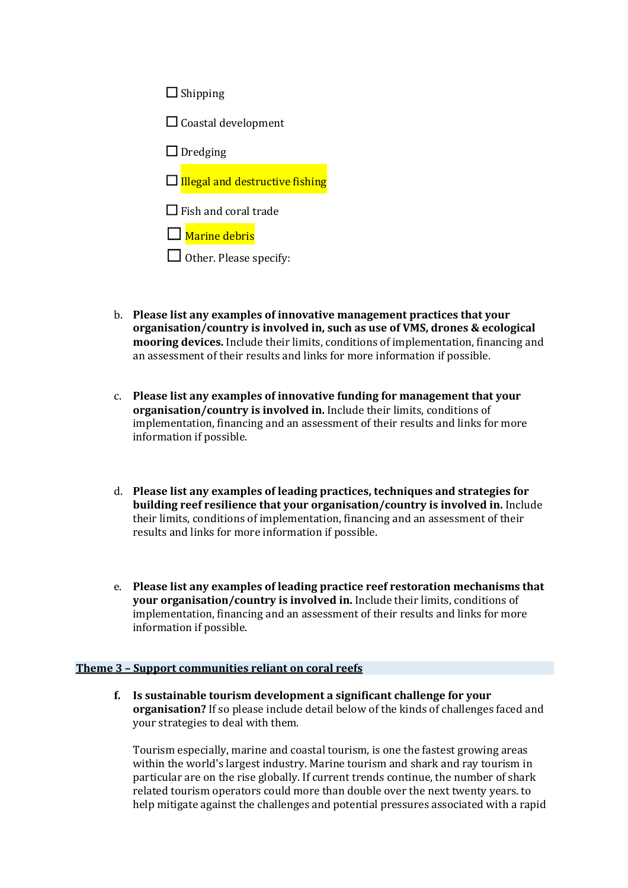| $\Box$ Shipping                        |
|----------------------------------------|
| $\Box$ Coastal development             |
| $\Box$ Dredging                        |
| $\Box$ Illegal and destructive fishing |
| $\Box$ Fish and coral trade            |
| $\square$ Marine debris                |
| $\Box$ Other. Please specify:          |

- b. Please list any examples of innovative management practices that your **organisation/country is involved in, such as use of VMS, drones & ecological mooring devices.** Include their limits, conditions of implementation, financing and an assessment of their results and links for more information if possible.
- c. Please list any examples of innovative funding for management that your **organisation/country is involved in.** Include their limits, conditions of implementation, financing and an assessment of their results and links for more information if possible.
- d. Please list any examples of leading practices, techniques and strategies for **building reef resilience that your organisation/country is involved in.** Include their limits, conditions of implementation, financing and an assessment of their results and links for more information if possible.
- e. Please list any examples of leading practice reef restoration mechanisms that **your organisation/country is involved in.** Include their limits, conditions of implementation, financing and an assessment of their results and links for more information if possible.

### **Theme 3 - Support communities reliant on coral reefs**

**f.** Is sustainable tourism development a significant challenge for your **organisation?** If so please include detail below of the kinds of challenges faced and your strategies to deal with them.

Tourism especially, marine and coastal tourism, is one the fastest growing areas within the world's largest industry. Marine tourism and shark and ray tourism in particular are on the rise globally. If current trends continue, the number of shark related tourism operators could more than double over the next twenty years. to help mitigate against the challenges and potential pressures associated with a rapid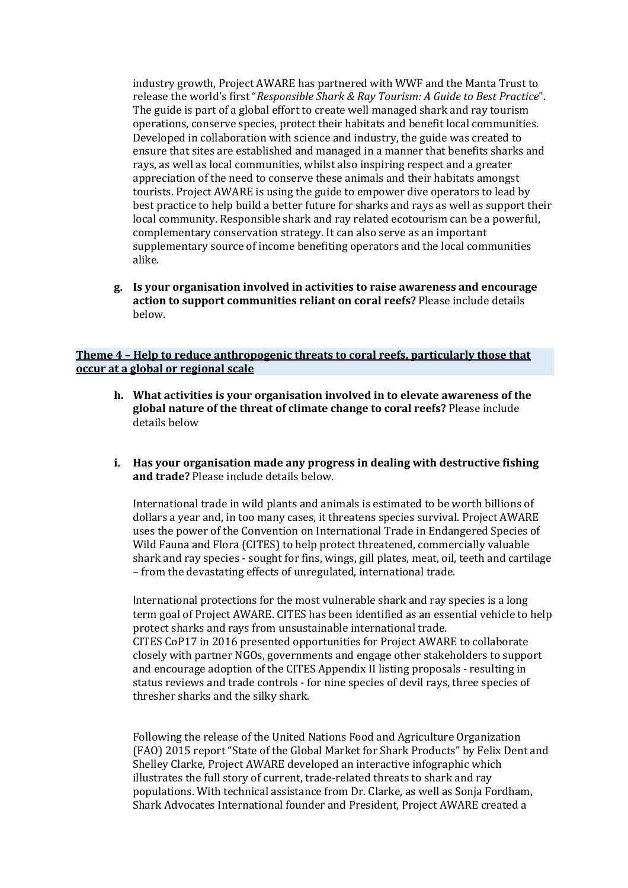industry growth, Project AWARE has partnered with WWF and the Manta Trust to release the world's first "Responsible Shark & Ray Tourism: A Guide to Best Practice". The guide is part of a global effort to create well managed shark and ray tourism operations, conserve species, protect their habitats and benefit local communities. Developed in collaboration with science and industry, the guide was created to ensure that sites are established and managed in a manner that benefits sharks and rays, as well as local communities, whilst also inspiring respect and a greater appreciation of the need to conserve these animals and their habitats amongst tourists. Project AWARE is using the guide to empower dive operators to lead by best practice to help build a better future for sharks and rays as well as support their local community. Responsible shark and ray related ecotourism can be a powerful, complementary conservation strategy. It can also serve as an important supplementary source of income benefiting operators and the local communities alike.

**g. Is your organisation involved in activities to raise awareness and encourage**  action to support communities reliant on coral reefs? Please include details below.

### **Theme 4 - Help to reduce anthropogenic threats to coral reefs, particularly those that occur at a global or regional scale**

- **h.** What activities is your organisation involved in to elevate awareness of the global nature of the threat of climate change to coral reefs? Please include details below
- **i.** Has your organisation made any progress in dealing with destructive fishing **and trade?** Please include details below.

International trade in wild plants and animals is estimated to be worth billions of dollars a year and, in too many cases, it threatens species survival. Project AWARE uses the power of the Convention on International Trade in Endangered Species of Wild Fauna and Flora (CITES) to help protect threatened, commercially valuable shark and ray species - sought for fins, wings, gill plates, meat, oil, teeth and cartilage – from the devastating effects of unregulated, international trade.

International protections for the most vulnerable shark and ray species is a long term goal of Project AWARE. CITES has been identified as an essential vehicle to help protect sharks and rays from unsustainable international trade. CITES CoP17 in 2016 presented opportunities for Project AWARE to collaborate closely with partner NGOs, governments and engage other stakeholders to support and encourage adoption of the CITES Appendix II listing proposals - resulting in status reviews and trade controls - for nine species of devil rays, three species of thresher sharks and the silky shark.

Following the release of the United Nations Food and Agriculture Organization (FAO) 2015 report "State of the Global Market for Shark Products" by Felix Dent and Shelley Clarke, Project AWARE developed an interactive infographic which illustrates the full story of current, trade-related threats to shark and ray populations. With technical assistance from Dr. Clarke, as well as Sonja Fordham, Shark Advocates International founder and President, Project AWARE created a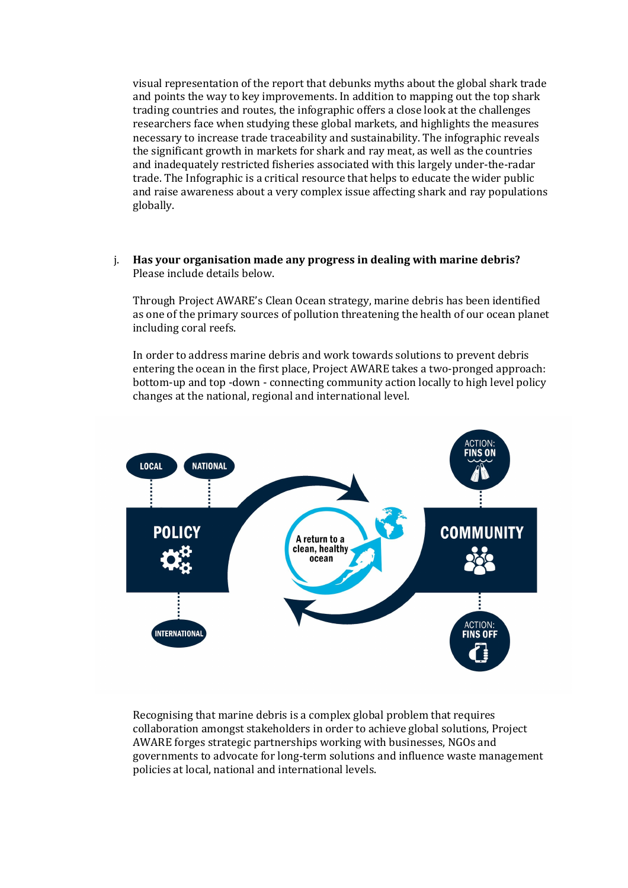visual representation of the report that debunks myths about the global shark trade and points the way to key improvements. In addition to mapping out the top shark trading countries and routes, the infographic offers a close look at the challenges researchers face when studying these global markets, and highlights the measures necessary to increase trade traceability and sustainability. The infographic reveals the significant growth in markets for shark and ray meat, as well as the countries and inadequately restricted fisheries associated with this largely under-the-radar trade. The Infographic is a critical resource that helps to educate the wider public and raise awareness about a very complex issue affecting shark and ray populations globally.

### j. Has your organisation made any progress in dealing with marine debris? Please include details below.

Through Project AWARE's Clean Ocean strategy, marine debris has been identified as one of the primary sources of pollution threatening the health of our ocean planet including coral reefs.

In order to address marine debris and work towards solutions to prevent debris entering the ocean in the first place, Project AWARE takes a two-pronged approach: bottom-up and top -down - connecting community action locally to high level policy changes at the national, regional and international level.



Recognising that marine debris is a complex global problem that requires collaboration amongst stakeholders in order to achieve global solutions, Project AWARE forges strategic partnerships working with businesses, NGOs and governments to advocate for long-term solutions and influence waste management policies at local, national and international levels.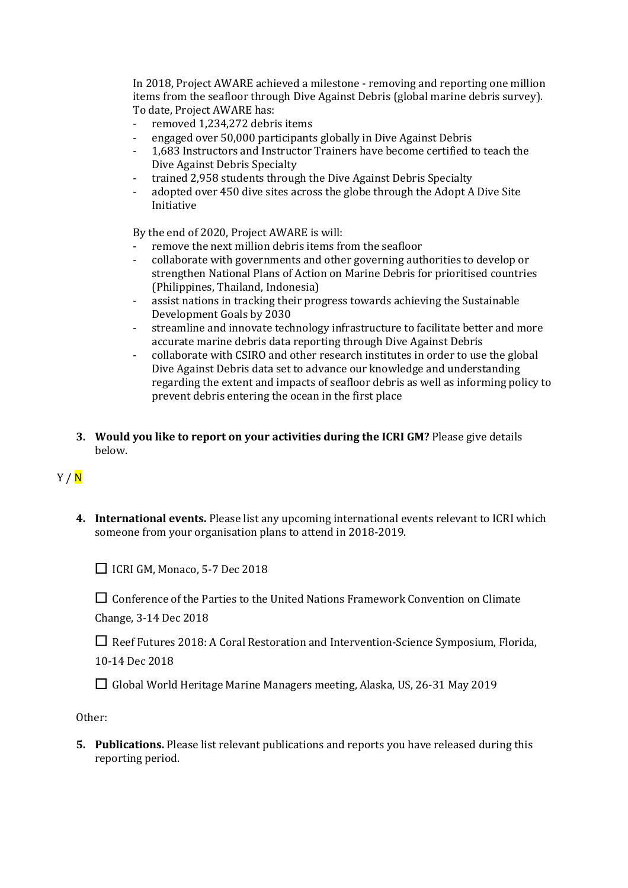In 2018, Project AWARE achieved a milestone - removing and reporting one million items from the seafloor through Dive Against Debris (global marine debris survey). To date, Project AWARE has:

- removed 1.234.272 debris items
- engaged over 50,000 participants globally in Dive Against Debris
- 1,683 Instructors and Instructor Trainers have become certified to teach the Dive Against Debris Specialty
- trained 2,958 students through the Dive Against Debris Specialty
- adopted over 450 dive sites across the globe through the Adopt A Dive Site Initiative

By the end of 2020, Project AWARE is will:

- remove the next million debris items from the seafloor
- collaborate with governments and other governing authorities to develop or strengthen National Plans of Action on Marine Debris for prioritised countries (Philippines, Thailand, Indonesia)
- assist nations in tracking their progress towards achieving the Sustainable Development Goals by 2030
- streamline and innovate technology infrastructure to facilitate better and more accurate marine debris data reporting through Dive Against Debris
- collaborate with CSIRO and other research institutes in order to use the global Dive Against Debris data set to advance our knowledge and understanding regarding the extent and impacts of seafloor debris as well as informing policy to prevent debris entering the ocean in the first place
- **3.** Would you like to report on your activities during the ICRI GM? Please give details below.

# $Y / N$

**4.** International events. Please list any upcoming international events relevant to ICRI which someone from your organisation plans to attend in 2018-2019.

□ ICRI GM, Monaco, 5-7 Dec 2018

□ Conference of the Parties to the United Nations Framework Convention on Climate

Change, 3-14 Dec 2018

□ Reef Futures 2018: A Coral Restoration and Intervention-Science Symposium, Florida,

10-14 Dec 2018

□ Global World Heritage Marine Managers meeting, Alaska, US, 26-31 May 2019

Other: 

**5.** Publications. Please list relevant publications and reports you have released during this reporting period.